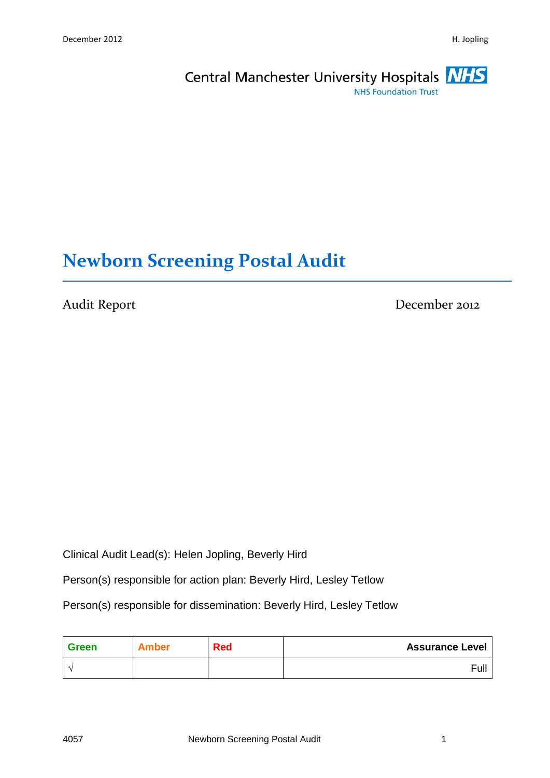

# **Newborn Screening Postal Audit**

Audit Report December 2012

Clinical Audit Lead(s): Helen Jopling, Beverly Hird

Person(s) responsible for action plan: Beverly Hird, Lesley Tetlow

Person(s) responsible for dissemination: Beverly Hird, Lesley Tetlow

| Green | Amber | <b>Red</b> | <b>Assurance Level</b> |
|-------|-------|------------|------------------------|
|       |       |            | Full                   |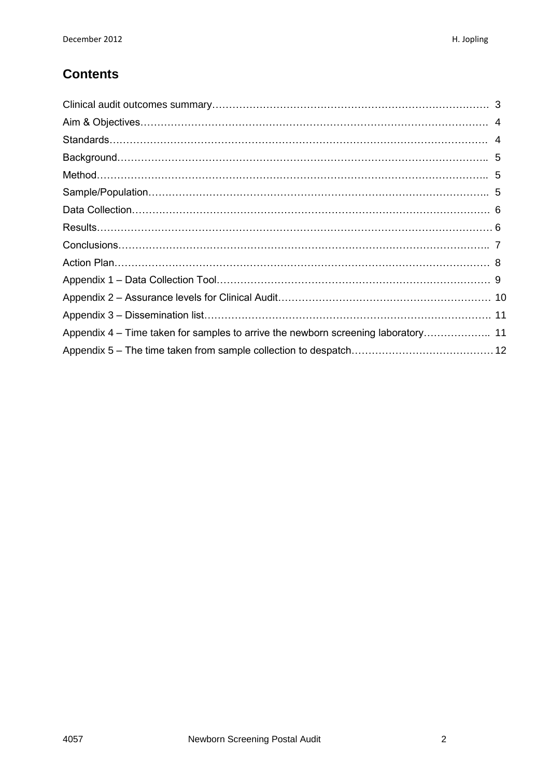### **Contents**

| Appendix 4 – Time taken for samples to arrive the newborn screening laboratory 11 |  |
|-----------------------------------------------------------------------------------|--|
|                                                                                   |  |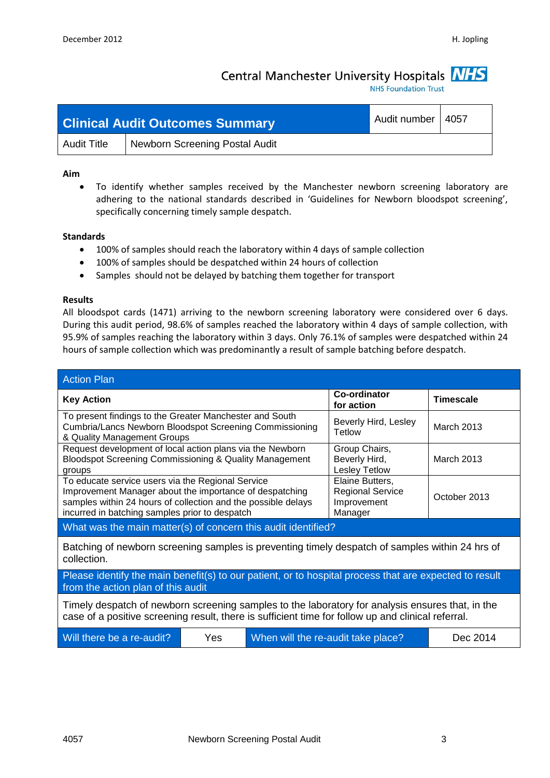### Central Manchester University Hospitals **NHS**

**NHS Foundation Trust** 

|                    | <b>Clinical Audit Outcomes Summary</b> | Audit number   4057 |  |
|--------------------|----------------------------------------|---------------------|--|
| <b>Audit Title</b> | <b>Newborn Screening Postal Audit</b>  |                     |  |

#### **Aim**

 To identify whether samples received by the Manchester newborn screening laboratory are adhering to the national standards described in 'Guidelines for Newborn bloodspot screening', specifically concerning timely sample despatch.

#### **Standards**

- 100% of samples should reach the laboratory within 4 days of sample collection
- 100% of samples should be despatched within 24 hours of collection
- Samples should not be delayed by batching them together for transport

#### **Results**

All bloodspot cards (1471) arriving to the newborn screening laboratory were considered over 6 days. During this audit period, 98.6% of samples reached the laboratory within 4 days of sample collection, with 95.9% of samples reaching the laboratory within 3 days. Only 76.1% of samples were despatched within 24 hours of sample collection which was predominantly a result of sample batching before despatch.

| <b>Action Plan</b>                                                                                                                                                                                                              |  |                                                                      |                   |  |  |
|---------------------------------------------------------------------------------------------------------------------------------------------------------------------------------------------------------------------------------|--|----------------------------------------------------------------------|-------------------|--|--|
| <b>Key Action</b>                                                                                                                                                                                                               |  | Co-ordinator<br>for action                                           | <b>Timescale</b>  |  |  |
| To present findings to the Greater Manchester and South<br>Cumbria/Lancs Newborn Bloodspot Screening Commissioning<br>& Quality Management Groups                                                                               |  | Beverly Hird, Lesley<br>Tetlow                                       | <b>March 2013</b> |  |  |
| Request development of local action plans via the Newborn<br>Bloodspot Screening Commissioning & Quality Management<br>groups                                                                                                   |  | Group Chairs,<br>Beverly Hird,<br><b>Lesley Tetlow</b>               | <b>March 2013</b> |  |  |
| To educate service users via the Regional Service<br>Improvement Manager about the importance of despatching<br>samples within 24 hours of collection and the possible delays<br>incurred in batching samples prior to despatch |  | Elaine Butters,<br><b>Regional Service</b><br>Improvement<br>Manager | October 2013      |  |  |
| What was the main matter(s) of concern this audit identified?                                                                                                                                                                   |  |                                                                      |                   |  |  |
| Batching of newborn screening samples is preventing timely despatch of samples within 24 hrs of<br>collection.                                                                                                                  |  |                                                                      |                   |  |  |
| Please identify the main benefit(s) to our patient, or to hospital process that are expected to result<br>from the action plan of this audit                                                                                    |  |                                                                      |                   |  |  |
| Timely despatch of newborn screening samples to the laboratory for analysis ensures that, in the<br>case of a positive screening result, there is sufficient time for follow up and clinical referral.                          |  |                                                                      |                   |  |  |
| Will there be a re-audit?<br>Yes<br>Dec 2014<br>When will the re-audit take place?                                                                                                                                              |  |                                                                      |                   |  |  |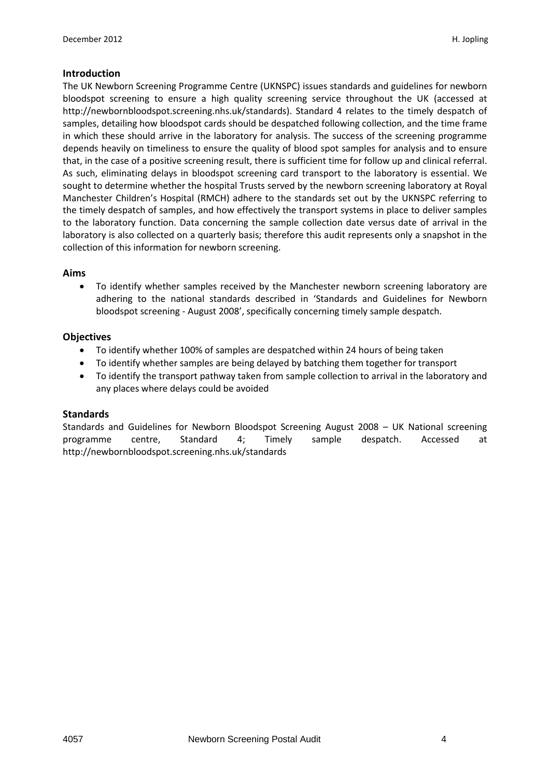#### **Introduction**

The UK Newborn Screening Programme Centre (UKNSPC) issues standards and guidelines for newborn bloodspot screening to ensure a high quality screening service throughout the UK (accessed at http://newbornbloodspot.screening.nhs.uk/standards). Standard 4 relates to the timely despatch of samples, detailing how bloodspot cards should be despatched following collection, and the time frame in which these should arrive in the laboratory for analysis. The success of the screening programme depends heavily on timeliness to ensure the quality of blood spot samples for analysis and to ensure that, in the case of a positive screening result, there is sufficient time for follow up and clinical referral. As such, eliminating delays in bloodspot screening card transport to the laboratory is essential. We sought to determine whether the hospital Trusts served by the newborn screening laboratory at Royal Manchester Children's Hospital (RMCH) adhere to the standards set out by the UKNSPC referring to the timely despatch of samples, and how effectively the transport systems in place to deliver samples to the laboratory function. Data concerning the sample collection date versus date of arrival in the laboratory is also collected on a quarterly basis; therefore this audit represents only a snapshot in the collection of this information for newborn screening.

#### **Aims**

 To identify whether samples received by the Manchester newborn screening laboratory are adhering to the national standards described in 'Standards and Guidelines for Newborn bloodspot screening - August 2008', specifically concerning timely sample despatch.

#### **Objectives**

- To identify whether 100% of samples are despatched within 24 hours of being taken
- To identify whether samples are being delayed by batching them together for transport
- To identify the transport pathway taken from sample collection to arrival in the laboratory and any places where delays could be avoided

#### **Standards**

Standards and Guidelines for Newborn Bloodspot Screening August 2008 – UK National screening programme centre, Standard 4; Timely sample despatch. Accessed at http://newbornbloodspot.screening.nhs.uk/standards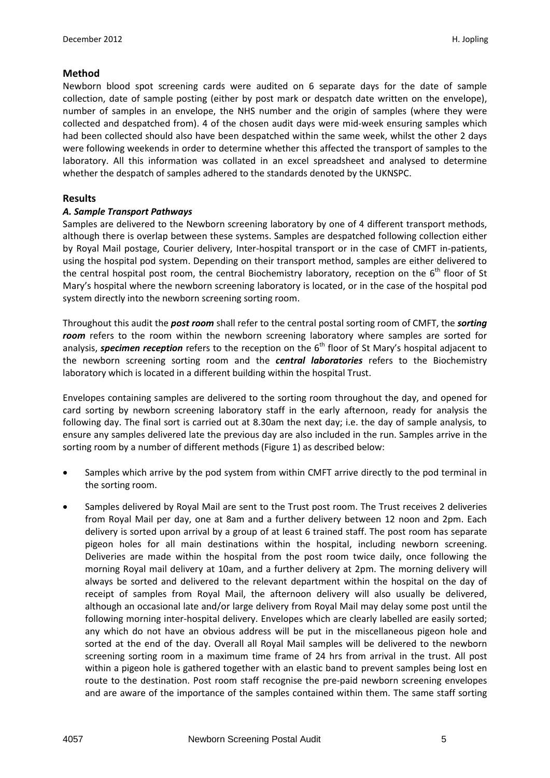#### **Method**

Newborn blood spot screening cards were audited on 6 separate days for the date of sample collection, date of sample posting (either by post mark or despatch date written on the envelope), number of samples in an envelope, the NHS number and the origin of samples (where they were collected and despatched from). 4 of the chosen audit days were mid-week ensuring samples which had been collected should also have been despatched within the same week, whilst the other 2 days were following weekends in order to determine whether this affected the transport of samples to the laboratory. All this information was collated in an excel spreadsheet and analysed to determine whether the despatch of samples adhered to the standards denoted by the UKNSPC.

#### **Results**

#### *A. Sample Transport Pathways*

Samples are delivered to the Newborn screening laboratory by one of 4 different transport methods, although there is overlap between these systems. Samples are despatched following collection either by Royal Mail postage, Courier delivery, Inter-hospital transport or in the case of CMFT in-patients, using the hospital pod system. Depending on their transport method, samples are either delivered to the central hospital post room, the central Biochemistry laboratory, reception on the  $6<sup>th</sup>$  floor of St Mary's hospital where the newborn screening laboratory is located, or in the case of the hospital pod system directly into the newborn screening sorting room.

Throughout this audit the *post room* shall refer to the central postal sorting room of CMFT, the *sorting room* refers to the room within the newborn screening laboratory where samples are sorted for analysis, **specimen reception** refers to the reception on the 6<sup>th</sup> floor of St Mary's hospital adjacent to the newborn screening sorting room and the *central laboratories* refers to the Biochemistry laboratory which is located in a different building within the hospital Trust.

Envelopes containing samples are delivered to the sorting room throughout the day, and opened for card sorting by newborn screening laboratory staff in the early afternoon, ready for analysis the following day. The final sort is carried out at 8.30am the next day; i.e. the day of sample analysis, to ensure any samples delivered late the previous day are also included in the run. Samples arrive in the sorting room by a number of different methods (Figure 1) as described below:

- Samples which arrive by the pod system from within CMFT arrive directly to the pod terminal in the sorting room.
- Samples delivered by Royal Mail are sent to the Trust post room. The Trust receives 2 deliveries from Royal Mail per day, one at 8am and a further delivery between 12 noon and 2pm. Each delivery is sorted upon arrival by a group of at least 6 trained staff. The post room has separate pigeon holes for all main destinations within the hospital, including newborn screening. Deliveries are made within the hospital from the post room twice daily, once following the morning Royal mail delivery at 10am, and a further delivery at 2pm. The morning delivery will always be sorted and delivered to the relevant department within the hospital on the day of receipt of samples from Royal Mail, the afternoon delivery will also usually be delivered, although an occasional late and/or large delivery from Royal Mail may delay some post until the following morning inter-hospital delivery. Envelopes which are clearly labelled are easily sorted; any which do not have an obvious address will be put in the miscellaneous pigeon hole and sorted at the end of the day. Overall all Royal Mail samples will be delivered to the newborn screening sorting room in a maximum time frame of 24 hrs from arrival in the trust. All post within a pigeon hole is gathered together with an elastic band to prevent samples being lost en route to the destination. Post room staff recognise the pre-paid newborn screening envelopes and are aware of the importance of the samples contained within them. The same staff sorting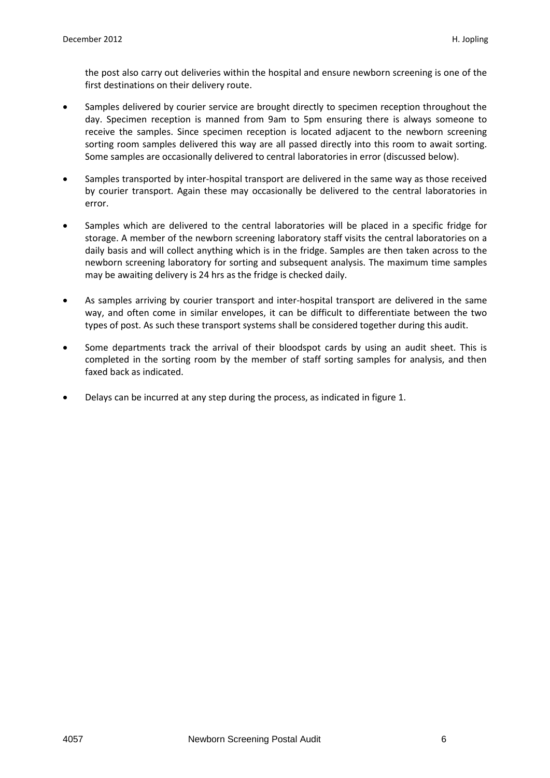the post also carry out deliveries within the hospital and ensure newborn screening is one of the first destinations on their delivery route.

- Samples delivered by courier service are brought directly to specimen reception throughout the day. Specimen reception is manned from 9am to 5pm ensuring there is always someone to receive the samples. Since specimen reception is located adjacent to the newborn screening sorting room samples delivered this way are all passed directly into this room to await sorting. Some samples are occasionally delivered to central laboratories in error (discussed below).
- Samples transported by inter-hospital transport are delivered in the same way as those received by courier transport. Again these may occasionally be delivered to the central laboratories in error.
- Samples which are delivered to the central laboratories will be placed in a specific fridge for storage. A member of the newborn screening laboratory staff visits the central laboratories on a daily basis and will collect anything which is in the fridge. Samples are then taken across to the newborn screening laboratory for sorting and subsequent analysis. The maximum time samples may be awaiting delivery is 24 hrs as the fridge is checked daily.
- As samples arriving by courier transport and inter-hospital transport are delivered in the same way, and often come in similar envelopes, it can be difficult to differentiate between the two types of post. As such these transport systems shall be considered together during this audit.
- Some departments track the arrival of their bloodspot cards by using an audit sheet. This is completed in the sorting room by the member of staff sorting samples for analysis, and then faxed back as indicated.
- Delays can be incurred at any step during the process, as indicated in figure 1.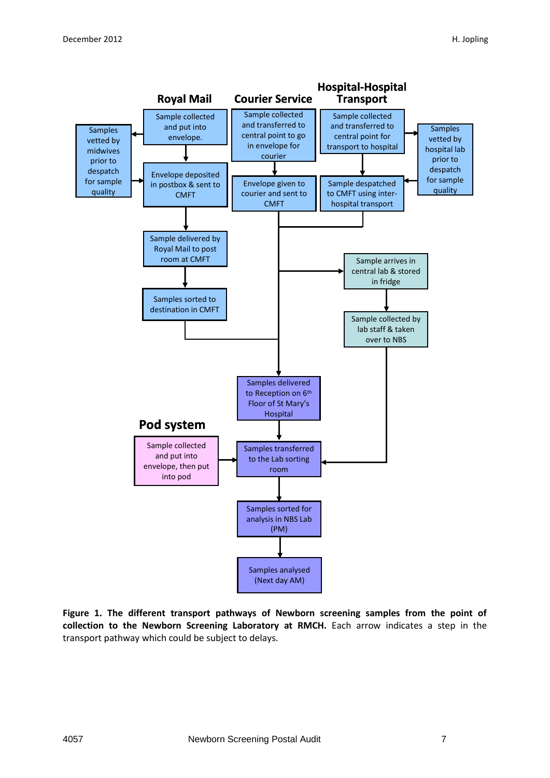

**Figure 1. The different transport pathways of Newborn screening samples from the point of collection to the Newborn Screening Laboratory at RMCH.** Each arrow indicates a step in the transport pathway which could be subject to delays.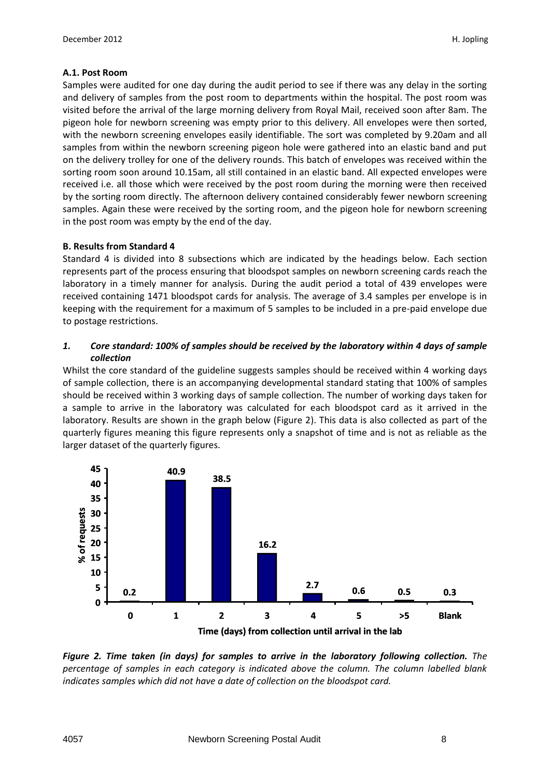#### **A.1. Post Room**

Samples were audited for one day during the audit period to see if there was any delay in the sorting and delivery of samples from the post room to departments within the hospital. The post room was visited before the arrival of the large morning delivery from Royal Mail, received soon after 8am. The pigeon hole for newborn screening was empty prior to this delivery. All envelopes were then sorted, with the newborn screening envelopes easily identifiable. The sort was completed by 9.20am and all samples from within the newborn screening pigeon hole were gathered into an elastic band and put on the delivery trolley for one of the delivery rounds. This batch of envelopes was received within the sorting room soon around 10.15am, all still contained in an elastic band. All expected envelopes were received i.e. all those which were received by the post room during the morning were then received by the sorting room directly. The afternoon delivery contained considerably fewer newborn screening samples. Again these were received by the sorting room, and the pigeon hole for newborn screening in the post room was empty by the end of the day.

#### **B. Results from Standard 4**

Standard 4 is divided into 8 subsections which are indicated by the headings below. Each section represents part of the process ensuring that bloodspot samples on newborn screening cards reach the laboratory in a timely manner for analysis. During the audit period a total of 439 envelopes were received containing 1471 bloodspot cards for analysis. The average of 3.4 samples per envelope is in keeping with the requirement for a maximum of 5 samples to be included in a pre-paid envelope due to postage restrictions.

#### *1. Core standard: 100% of samples should be received by the laboratory within 4 days of sample collection*

Whilst the core standard of the guideline suggests samples should be received within 4 working days of sample collection, there is an accompanying developmental standard stating that 100% of samples should be received within 3 working days of sample collection. The number of working days taken for a sample to arrive in the laboratory was calculated for each bloodspot card as it arrived in the laboratory. Results are shown in the graph below (Figure 2). This data is also collected as part of the quarterly figures meaning this figure represents only a snapshot of time and is not as reliable as the larger dataset of the quarterly figures.



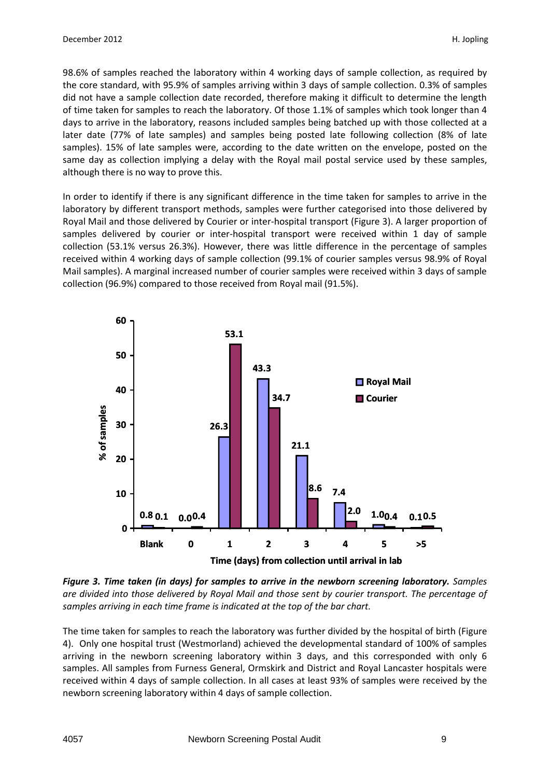98.6% of samples reached the laboratory within 4 working days of sample collection, as required by the core standard, with 95.9% of samples arriving within 3 days of sample collection. 0.3% of samples did not have a sample collection date recorded, therefore making it difficult to determine the length of time taken for samples to reach the laboratory. Of those 1.1% of samples which took longer than 4 days to arrive in the laboratory, reasons included samples being batched up with those collected at a later date (77% of late samples) and samples being posted late following collection (8% of late samples). 15% of late samples were, according to the date written on the envelope, posted on the same day as collection implying a delay with the Royal mail postal service used by these samples, although there is no way to prove this.

In order to identify if there is any significant difference in the time taken for samples to arrive in the laboratory by different transport methods, samples were further categorised into those delivered by Royal Mail and those delivered by Courier or inter-hospital transport (Figure 3). A larger proportion of samples delivered by courier or inter-hospital transport were received within 1 day of sample collection (53.1% versus 26.3%). However, there was little difference in the percentage of samples received within 4 working days of sample collection (99.1% of courier samples versus 98.9% of Royal Mail samples). A marginal increased number of courier samples were received within 3 days of sample collection (96.9%) compared to those received from Royal mail (91.5%).



*Figure 3. Time taken (in days) for samples to arrive in the newborn screening laboratory. Samples are divided into those delivered by Royal Mail and those sent by courier transport. The percentage of samples arriving in each time frame is indicated at the top of the bar chart.*

The time taken for samples to reach the laboratory was further divided by the hospital of birth (Figure 4). Only one hospital trust (Westmorland) achieved the developmental standard of 100% of samples arriving in the newborn screening laboratory within 3 days, and this corresponded with only 6 samples. All samples from Furness General, Ormskirk and District and Royal Lancaster hospitals were received within 4 days of sample collection. In all cases at least 93% of samples were received by the newborn screening laboratory within 4 days of sample collection.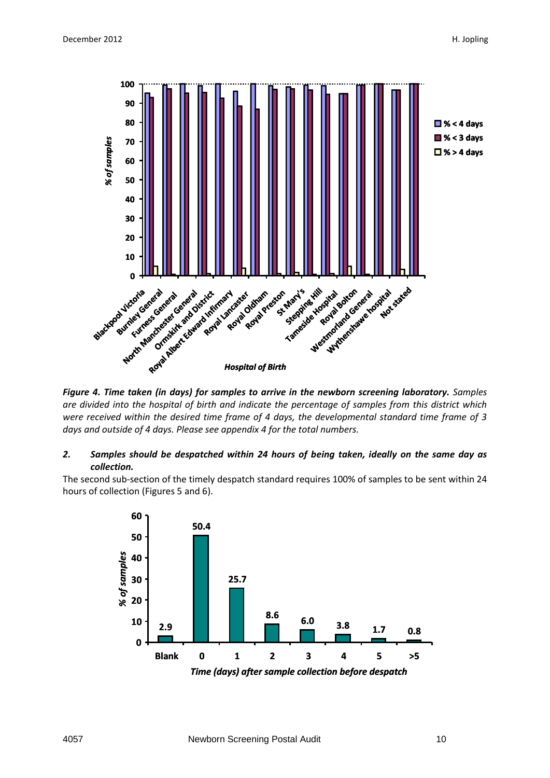

*Figure 4. Time taken (in days) for samples to arrive in the newborn screening laboratory. Samples are divided into the hospital of birth and indicate the percentage of samples from this district which were received within the desired time frame of 4 days, the developmental standard time frame of 3 days and outside of 4 days. Please see appendix 4 for the total numbers.*

#### *2. Samples should be despatched within 24 hours of being taken, ideally on the same day as collection.*

The second sub-section of the timely despatch standard requires 100% of samples to be sent within 24 hours of collection (Figures 5 and 6).

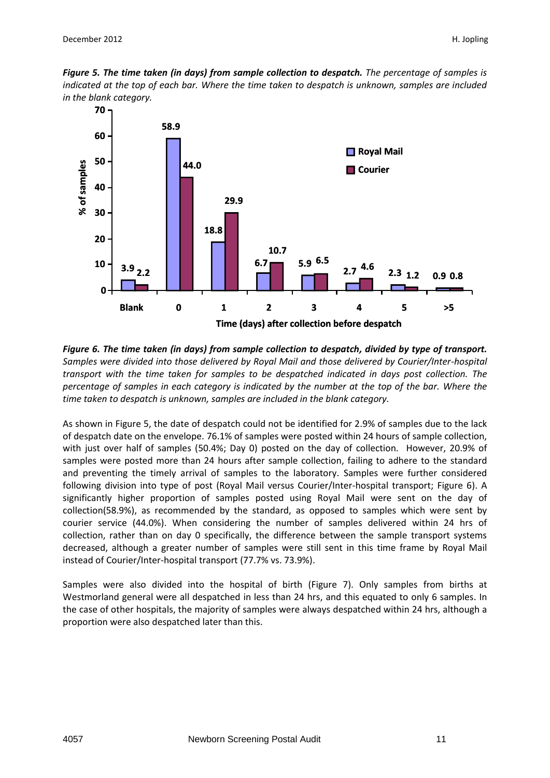



*Figure 6. The time taken (in days) from sample collection to despatch, divided by type of transport. Samples were divided into those delivered by Royal Mail and those delivered by Courier/Inter-hospital transport with the time taken for samples to be despatched indicated in days post collection. The percentage of samples in each category is indicated by the number at the top of the bar. Where the time taken to despatch is unknown, samples are included in the blank category.*

As shown in Figure 5, the date of despatch could not be identified for 2.9% of samples due to the lack of despatch date on the envelope. 76.1% of samples were posted within 24 hours of sample collection, with just over half of samples (50.4%; Day 0) posted on the day of collection. However, 20.9% of samples were posted more than 24 hours after sample collection, failing to adhere to the standard and preventing the timely arrival of samples to the laboratory. Samples were further considered following division into type of post (Royal Mail versus Courier/Inter-hospital transport; Figure 6). A significantly higher proportion of samples posted using Royal Mail were sent on the day of collection(58.9%), as recommended by the standard, as opposed to samples which were sent by courier service (44.0%). When considering the number of samples delivered within 24 hrs of collection, rather than on day 0 specifically, the difference between the sample transport systems decreased, although a greater number of samples were still sent in this time frame by Royal Mail instead of Courier/Inter-hospital transport (77.7% vs. 73.9%).

Samples were also divided into the hospital of birth (Figure 7). Only samples from births at Westmorland general were all despatched in less than 24 hrs, and this equated to only 6 samples. In the case of other hospitals, the majority of samples were always despatched within 24 hrs, although a proportion were also despatched later than this.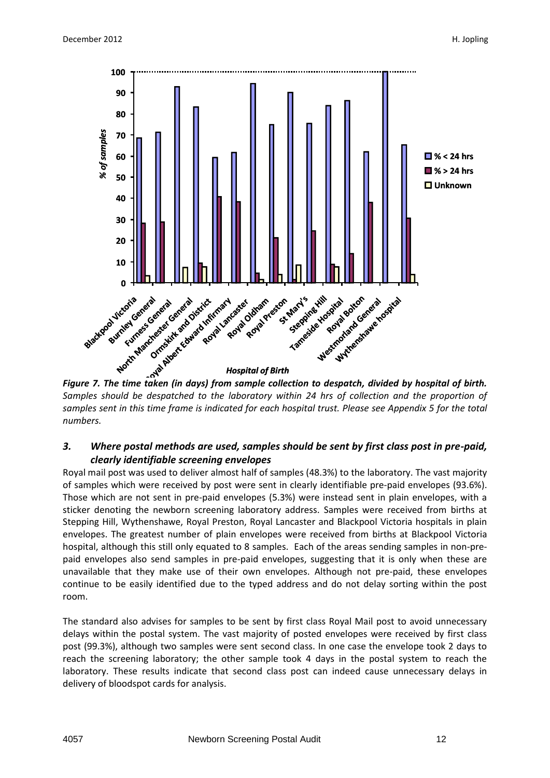

*Figure 7. The time taken (in days) from sample collection to despatch, divided by hospital of birth. Samples should be despatched to the laboratory within 24 hrs of collection and the proportion of samples sent in this time frame is indicated for each hospital trust. Please see Appendix 5 for the total numbers.*

#### *3. Where postal methods are used, samples should be sent by first class post in pre-paid, clearly identifiable screening envelopes*

Royal mail post was used to deliver almost half of samples (48.3%) to the laboratory. The vast majority of samples which were received by post were sent in clearly identifiable pre-paid envelopes (93.6%). Those which are not sent in pre-paid envelopes (5.3%) were instead sent in plain envelopes, with a sticker denoting the newborn screening laboratory address. Samples were received from births at Stepping Hill, Wythenshawe, Royal Preston, Royal Lancaster and Blackpool Victoria hospitals in plain envelopes. The greatest number of plain envelopes were received from births at Blackpool Victoria hospital, although this still only equated to 8 samples. Each of the areas sending samples in non-prepaid envelopes also send samples in pre-paid envelopes, suggesting that it is only when these are unavailable that they make use of their own envelopes. Although not pre-paid, these envelopes continue to be easily identified due to the typed address and do not delay sorting within the post room.

The standard also advises for samples to be sent by first class Royal Mail post to avoid unnecessary delays within the postal system. The vast majority of posted envelopes were received by first class post (99.3%), although two samples were sent second class. In one case the envelope took 2 days to reach the screening laboratory; the other sample took 4 days in the postal system to reach the laboratory. These results indicate that second class post can indeed cause unnecessary delays in delivery of bloodspot cards for analysis.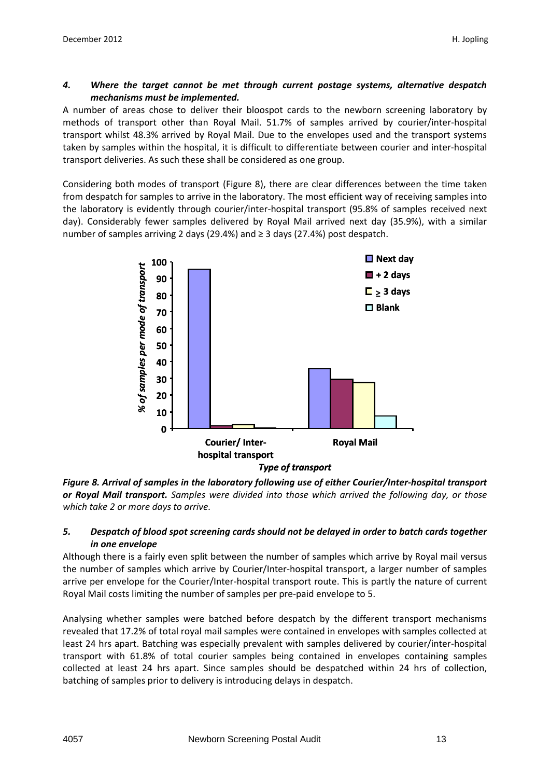#### *4. Where the target cannot be met through current postage systems, alternative despatch mechanisms must be implemented.*

A number of areas chose to deliver their bloospot cards to the newborn screening laboratory by methods of transport other than Royal Mail. 51.7% of samples arrived by courier/inter-hospital transport whilst 48.3% arrived by Royal Mail. Due to the envelopes used and the transport systems taken by samples within the hospital, it is difficult to differentiate between courier and inter-hospital transport deliveries. As such these shall be considered as one group.

Considering both modes of transport (Figure 8), there are clear differences between the time taken from despatch for samples to arrive in the laboratory. The most efficient way of receiving samples into the laboratory is evidently through courier/inter-hospital transport (95.8% of samples received next day). Considerably fewer samples delivered by Royal Mail arrived next day (35.9%), with a similar number of samples arriving 2 days (29.4%) and ≥ 3 days (27.4%) post despatch.



*Figure 8. Arrival of samples in the laboratory following use of either Courier/Inter-hospital transport or Royal Mail transport. Samples were divided into those which arrived the following day, or those which take 2 or more days to arrive.* 

#### *5. Despatch of blood spot screening cards should not be delayed in order to batch cards together in one envelope*

Although there is a fairly even split between the number of samples which arrive by Royal mail versus the number of samples which arrive by Courier/Inter-hospital transport, a larger number of samples arrive per envelope for the Courier/Inter-hospital transport route. This is partly the nature of current Royal Mail costs limiting the number of samples per pre-paid envelope to 5.

Analysing whether samples were batched before despatch by the different transport mechanisms revealed that 17.2% of total royal mail samples were contained in envelopes with samples collected at least 24 hrs apart. Batching was especially prevalent with samples delivered by courier/inter-hospital transport with 61.8% of total courier samples being contained in envelopes containing samples collected at least 24 hrs apart. Since samples should be despatched within 24 hrs of collection, batching of samples prior to delivery is introducing delays in despatch.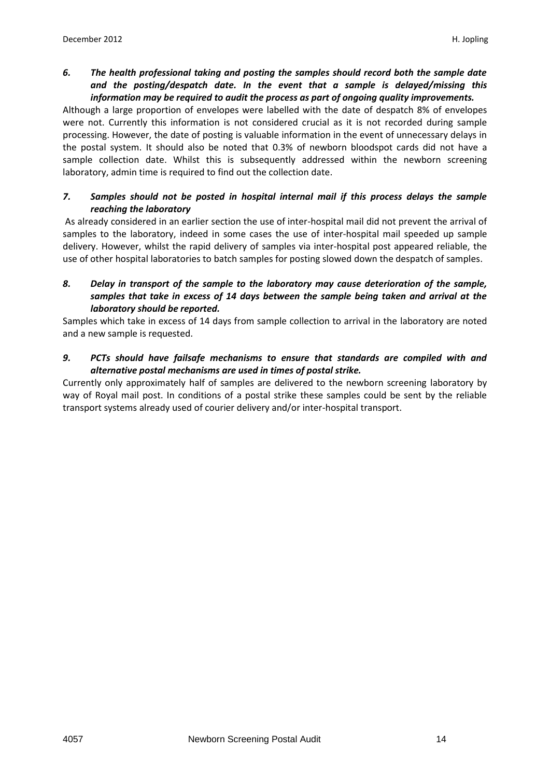*6. The health professional taking and posting the samples should record both the sample date and the posting/despatch date. In the event that a sample is delayed/missing this information may be required to audit the process as part of ongoing quality improvements.*

Although a large proportion of envelopes were labelled with the date of despatch 8% of envelopes were not. Currently this information is not considered crucial as it is not recorded during sample processing. However, the date of posting is valuable information in the event of unnecessary delays in the postal system. It should also be noted that 0.3% of newborn bloodspot cards did not have a sample collection date. Whilst this is subsequently addressed within the newborn screening laboratory, admin time is required to find out the collection date.

#### *7. Samples should not be posted in hospital internal mail if this process delays the sample reaching the laboratory*

As already considered in an earlier section the use of inter-hospital mail did not prevent the arrival of samples to the laboratory, indeed in some cases the use of inter-hospital mail speeded up sample delivery. However, whilst the rapid delivery of samples via inter-hospital post appeared reliable, the use of other hospital laboratories to batch samples for posting slowed down the despatch of samples.

#### *8. Delay in transport of the sample to the laboratory may cause deterioration of the sample, samples that take in excess of 14 days between the sample being taken and arrival at the laboratory should be reported.*

Samples which take in excess of 14 days from sample collection to arrival in the laboratory are noted and a new sample is requested.

#### *9. PCTs should have failsafe mechanisms to ensure that standards are compiled with and alternative postal mechanisms are used in times of postal strike.*

Currently only approximately half of samples are delivered to the newborn screening laboratory by way of Royal mail post. In conditions of a postal strike these samples could be sent by the reliable transport systems already used of courier delivery and/or inter-hospital transport.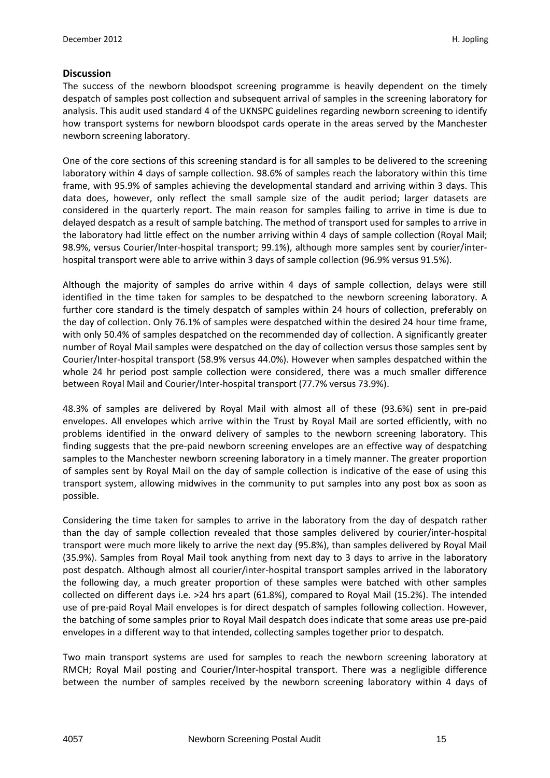#### **Discussion**

The success of the newborn bloodspot screening programme is heavily dependent on the timely despatch of samples post collection and subsequent arrival of samples in the screening laboratory for analysis. This audit used standard 4 of the UKNSPC guidelines regarding newborn screening to identify how transport systems for newborn bloodspot cards operate in the areas served by the Manchester newborn screening laboratory.

One of the core sections of this screening standard is for all samples to be delivered to the screening laboratory within 4 days of sample collection. 98.6% of samples reach the laboratory within this time frame, with 95.9% of samples achieving the developmental standard and arriving within 3 days. This data does, however, only reflect the small sample size of the audit period; larger datasets are considered in the quarterly report. The main reason for samples failing to arrive in time is due to delayed despatch as a result of sample batching. The method of transport used for samples to arrive in the laboratory had little effect on the number arriving within 4 days of sample collection (Royal Mail; 98.9%, versus Courier/Inter-hospital transport; 99.1%), although more samples sent by courier/interhospital transport were able to arrive within 3 days of sample collection (96.9% versus 91.5%).

Although the majority of samples do arrive within 4 days of sample collection, delays were still identified in the time taken for samples to be despatched to the newborn screening laboratory. A further core standard is the timely despatch of samples within 24 hours of collection, preferably on the day of collection. Only 76.1% of samples were despatched within the desired 24 hour time frame, with only 50.4% of samples despatched on the recommended day of collection. A significantly greater number of Royal Mail samples were despatched on the day of collection versus those samples sent by Courier/Inter-hospital transport (58.9% versus 44.0%). However when samples despatched within the whole 24 hr period post sample collection were considered, there was a much smaller difference between Royal Mail and Courier/Inter-hospital transport (77.7% versus 73.9%).

48.3% of samples are delivered by Royal Mail with almost all of these (93.6%) sent in pre-paid envelopes. All envelopes which arrive within the Trust by Royal Mail are sorted efficiently, with no problems identified in the onward delivery of samples to the newborn screening laboratory. This finding suggests that the pre-paid newborn screening envelopes are an effective way of despatching samples to the Manchester newborn screening laboratory in a timely manner. The greater proportion of samples sent by Royal Mail on the day of sample collection is indicative of the ease of using this transport system, allowing midwives in the community to put samples into any post box as soon as possible.

Considering the time taken for samples to arrive in the laboratory from the day of despatch rather than the day of sample collection revealed that those samples delivered by courier/inter-hospital transport were much more likely to arrive the next day (95.8%), than samples delivered by Royal Mail (35.9%). Samples from Royal Mail took anything from next day to 3 days to arrive in the laboratory post despatch. Although almost all courier/inter-hospital transport samples arrived in the laboratory the following day, a much greater proportion of these samples were batched with other samples collected on different days i.e. >24 hrs apart (61.8%), compared to Royal Mail (15.2%). The intended use of pre-paid Royal Mail envelopes is for direct despatch of samples following collection. However, the batching of some samples prior to Royal Mail despatch does indicate that some areas use pre-paid envelopes in a different way to that intended, collecting samples together prior to despatch.

Two main transport systems are used for samples to reach the newborn screening laboratory at RMCH; Royal Mail posting and Courier/Inter-hospital transport. There was a negligible difference between the number of samples received by the newborn screening laboratory within 4 days of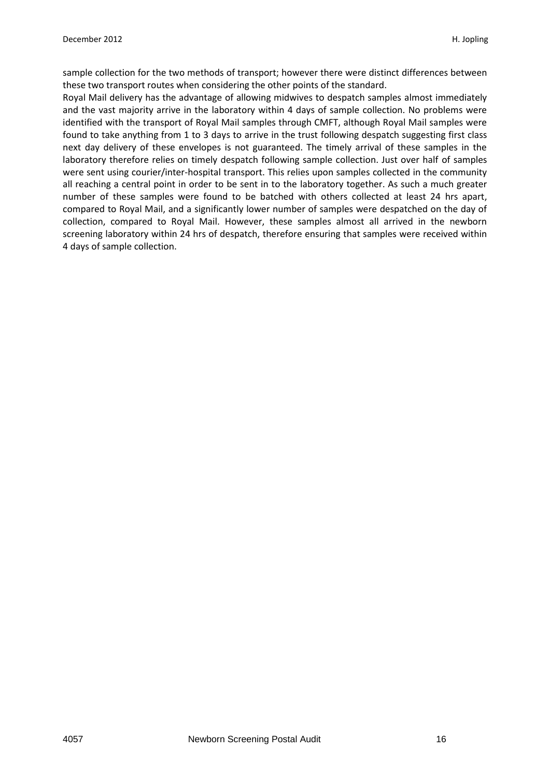sample collection for the two methods of transport; however there were distinct differences between these two transport routes when considering the other points of the standard.

Royal Mail delivery has the advantage of allowing midwives to despatch samples almost immediately and the vast majority arrive in the laboratory within 4 days of sample collection. No problems were identified with the transport of Royal Mail samples through CMFT, although Royal Mail samples were found to take anything from 1 to 3 days to arrive in the trust following despatch suggesting first class next day delivery of these envelopes is not guaranteed. The timely arrival of these samples in the laboratory therefore relies on timely despatch following sample collection. Just over half of samples were sent using courier/inter-hospital transport. This relies upon samples collected in the community all reaching a central point in order to be sent in to the laboratory together. As such a much greater number of these samples were found to be batched with others collected at least 24 hrs apart, compared to Royal Mail, and a significantly lower number of samples were despatched on the day of collection, compared to Royal Mail. However, these samples almost all arrived in the newborn screening laboratory within 24 hrs of despatch, therefore ensuring that samples were received within 4 days of sample collection.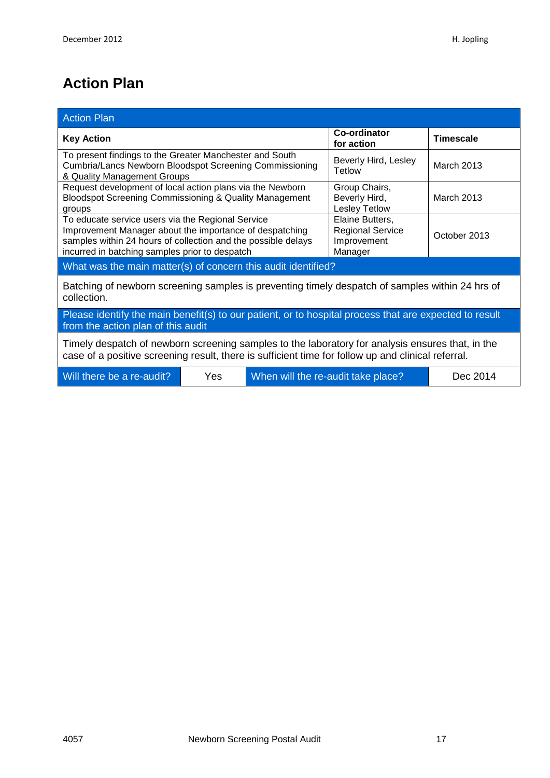## **Action Plan**

| <b>Action Plan</b>                                                                                                                                                                                                              |  |                                                                      |                            |                  |  |
|---------------------------------------------------------------------------------------------------------------------------------------------------------------------------------------------------------------------------------|--|----------------------------------------------------------------------|----------------------------|------------------|--|
| <b>Key Action</b>                                                                                                                                                                                                               |  |                                                                      | Co-ordinator<br>for action | <b>Timescale</b> |  |
| To present findings to the Greater Manchester and South<br>Cumbria/Lancs Newborn Bloodspot Screening Commissioning<br>& Quality Management Groups                                                                               |  | Beverly Hird, Lesley<br>Tetlow                                       | <b>March 2013</b>          |                  |  |
| Request development of local action plans via the Newborn<br>Bloodspot Screening Commissioning & Quality Management<br>groups                                                                                                   |  | Group Chairs,<br>Beverly Hird,<br>Lesley Tetlow                      | March 2013                 |                  |  |
| To educate service users via the Regional Service<br>Improvement Manager about the importance of despatching<br>samples within 24 hours of collection and the possible delays<br>incurred in batching samples prior to despatch |  | Elaine Butters,<br><b>Regional Service</b><br>Improvement<br>Manager | October 2013               |                  |  |
| What was the main matter(s) of concern this audit identified?                                                                                                                                                                   |  |                                                                      |                            |                  |  |
| Batching of newborn screening samples is preventing timely despatch of samples within 24 hrs of<br>collection.                                                                                                                  |  |                                                                      |                            |                  |  |
| Please identify the main benefit(s) to our patient, or to hospital process that are expected to result<br>from the action plan of this audit                                                                                    |  |                                                                      |                            |                  |  |
| Timely despatch of newborn screening samples to the laboratory for analysis ensures that, in the<br>case of a positive screening result, there is sufficient time for follow up and clinical referral.                          |  |                                                                      |                            |                  |  |
| Will there be a re-audit?<br>When will the re-audit take place?<br>Dec 2014<br>Yes.                                                                                                                                             |  |                                                                      |                            |                  |  |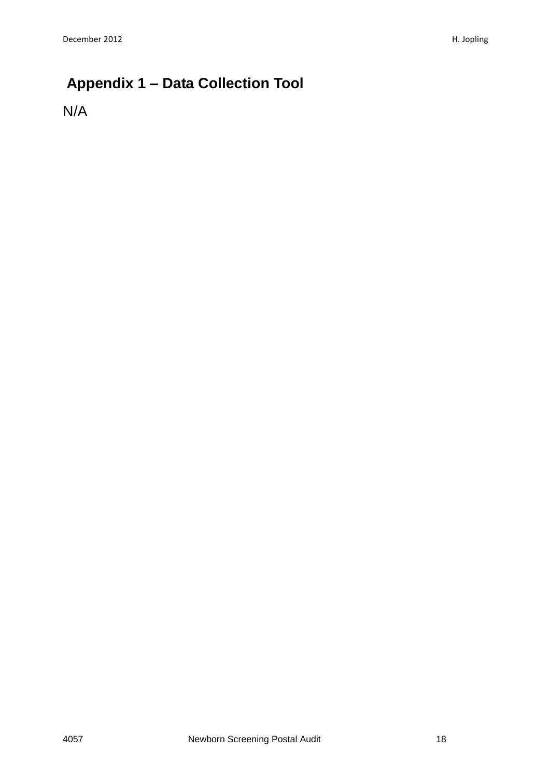## **Appendix 1 – Data Collection Tool**

N/A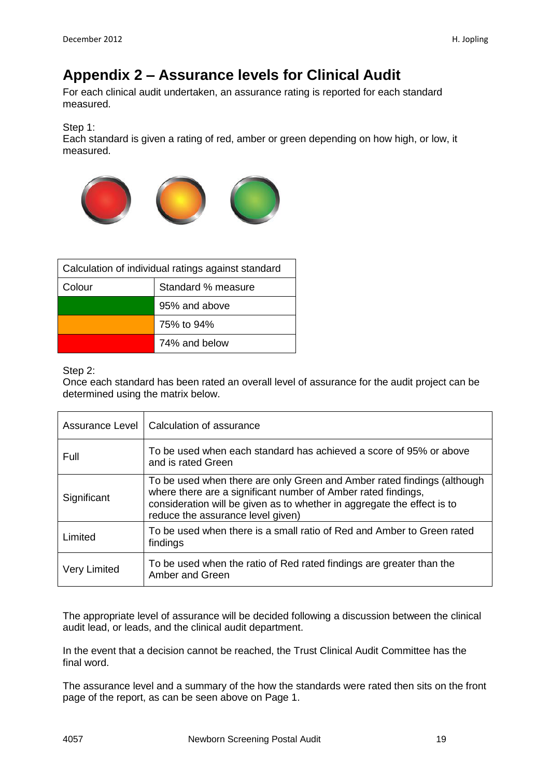## **Appendix 2 – Assurance levels for Clinical Audit**

For each clinical audit undertaken, an assurance rating is reported for each standard measured.

Step 1:

Each standard is given a rating of red, amber or green depending on how high, or low, it measured.



| Calculation of individual ratings against standard |                    |  |  |
|----------------------------------------------------|--------------------|--|--|
| Colour                                             | Standard % measure |  |  |
| 95% and above                                      |                    |  |  |
| 75% to 94%                                         |                    |  |  |
| 74% and below                                      |                    |  |  |

Step 2:

Once each standard has been rated an overall level of assurance for the audit project can be determined using the matrix below.

|                     | Assurance Level   Calculation of assurance                                                                                                                                                                                                               |
|---------------------|----------------------------------------------------------------------------------------------------------------------------------------------------------------------------------------------------------------------------------------------------------|
| Full                | To be used when each standard has achieved a score of 95% or above<br>and is rated Green                                                                                                                                                                 |
| Significant         | To be used when there are only Green and Amber rated findings (although<br>where there are a significant number of Amber rated findings,<br>consideration will be given as to whether in aggregate the effect is to<br>reduce the assurance level given) |
| Limited             | To be used when there is a small ratio of Red and Amber to Green rated<br>findings                                                                                                                                                                       |
| <b>Very Limited</b> | To be used when the ratio of Red rated findings are greater than the<br>Amber and Green                                                                                                                                                                  |

The appropriate level of assurance will be decided following a discussion between the clinical audit lead, or leads, and the clinical audit department.

In the event that a decision cannot be reached, the Trust Clinical Audit Committee has the final word.

The assurance level and a summary of the how the standards were rated then sits on the front page of the report, as can be seen above on Page 1.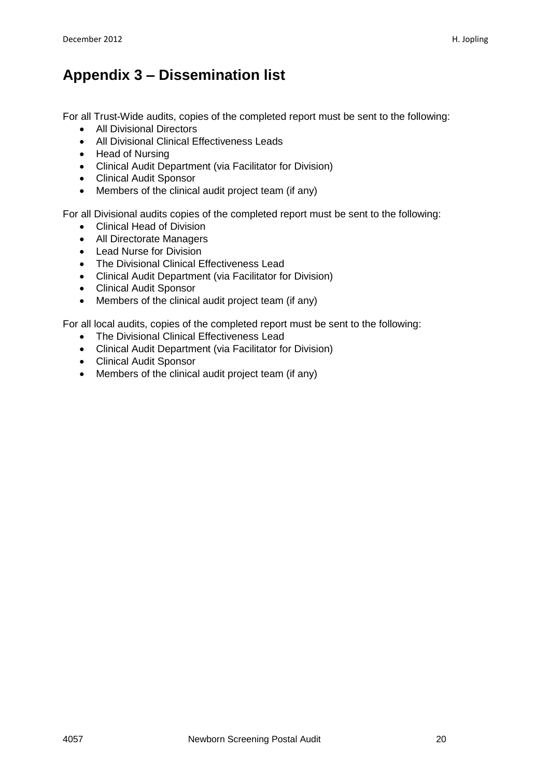## **Appendix 3 – Dissemination list**

For all Trust-Wide audits, copies of the completed report must be sent to the following:

- All Divisional Directors
- All Divisional Clinical Effectiveness Leads
- Head of Nursing
- Clinical Audit Department (via Facilitator for Division)
- Clinical Audit Sponsor
- Members of the clinical audit project team (if any)

For all Divisional audits copies of the completed report must be sent to the following:

- Clinical Head of Division
- All Directorate Managers
- Lead Nurse for Division
- The Divisional Clinical Effectiveness Lead
- Clinical Audit Department (via Facilitator for Division)
- Clinical Audit Sponsor
- Members of the clinical audit project team (if any)

For all local audits, copies of the completed report must be sent to the following:

- The Divisional Clinical Effectiveness Lead
- Clinical Audit Department (via Facilitator for Division)
- Clinical Audit Sponsor
- Members of the clinical audit project team (if any)